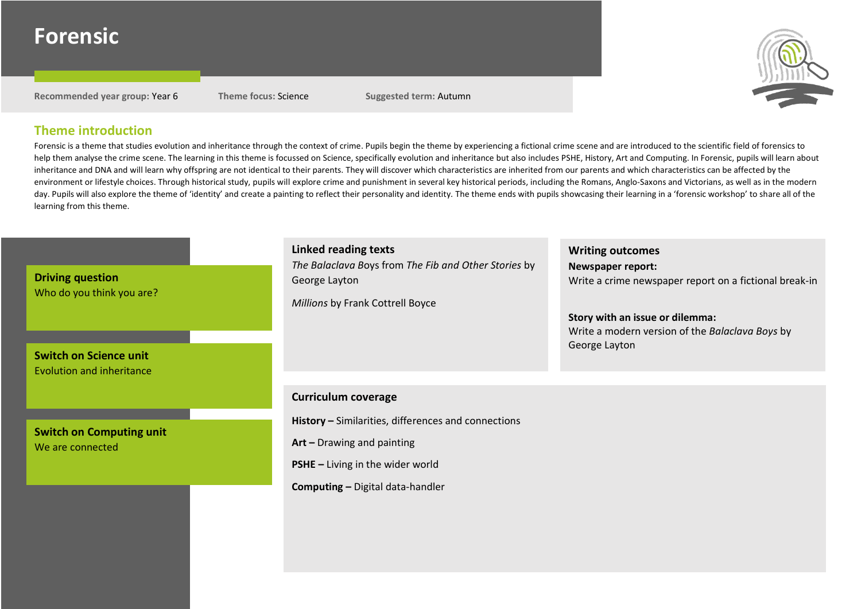# **Forensic**

**Recommended year group:** Year 6 **Theme focus:** Science **Suggested term:** Autumn



## **Theme introduction**

Forensic is a theme that studies evolution and inheritance through the context of crime. Pupils begin the theme by experiencing a fictional crime scene and are introduced to the scientific field of forensics to help them analyse the crime scene. The learning in this theme is focussed on Science, specifically evolution and inheritance but also includes PSHE, History, Art and Computing. In Forensic, pupils will learn about inheritance and DNA and will learn why offspring are not identical to their parents. They will discover which characteristics are inherited from our parents and which characteristics can be affected by the environment or lifestyle choices. Through historical study, pupils will explore crime and punishment in several key historical periods, including the Romans, Anglo-Saxons and Victorians, as well as in the modern day. Pupils will also explore the theme of 'identity' and create a painting to reflect their personality and identity. The theme ends with pupils showcasing their learning in a 'forensic workshop' to share all of the learning from this theme.

| <b>Driving question</b><br>Who do you think you are?<br><b>Switch on Science unit</b><br><b>Evolution and inheritance</b> | <b>Linked reading texts</b><br>The Balaclava Boys from The Fib and Other Stories by<br>George Layton<br>Millions by Frank Cottrell Boyce | <b>Writing outcomes</b><br><b>Newspaper report:</b><br>Write a crime newspaper report on a fictional break-in<br>Story with an issue or dilemma:<br>Write a modern version of the Balaclava Boys by<br>George Layton |
|---------------------------------------------------------------------------------------------------------------------------|------------------------------------------------------------------------------------------------------------------------------------------|----------------------------------------------------------------------------------------------------------------------------------------------------------------------------------------------------------------------|
|                                                                                                                           | <b>Curriculum coverage</b>                                                                                                               |                                                                                                                                                                                                                      |
| <b>Switch on Computing unit</b><br>We are connected                                                                       | History - Similarities, differences and connections                                                                                      |                                                                                                                                                                                                                      |
|                                                                                                                           | Art - Drawing and painting                                                                                                               |                                                                                                                                                                                                                      |
|                                                                                                                           | $PSHE - Living in the wider world$                                                                                                       |                                                                                                                                                                                                                      |
|                                                                                                                           | <b>Computing - Digital data-handler</b>                                                                                                  |                                                                                                                                                                                                                      |
|                                                                                                                           |                                                                                                                                          |                                                                                                                                                                                                                      |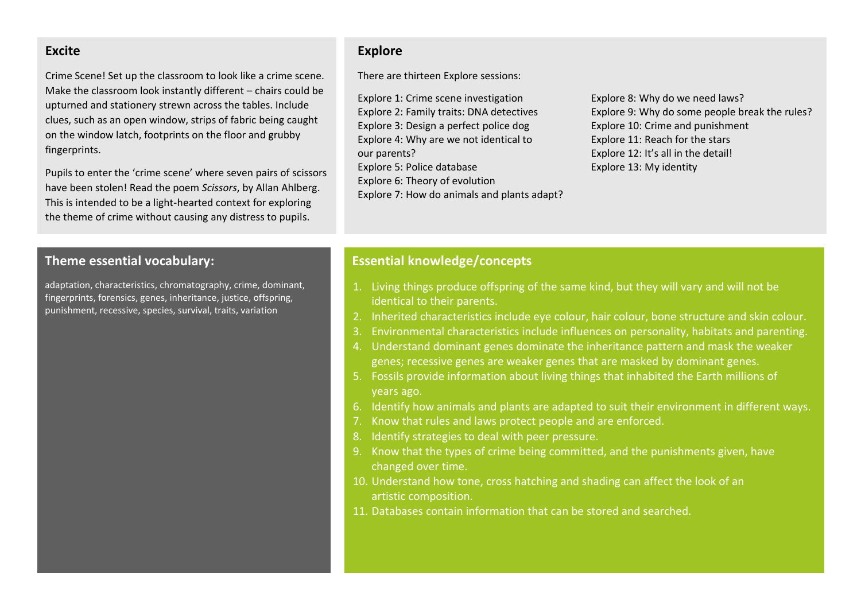#### **Excite**

Crime Scene! Set up the classroom to look like a crime scene. Make the classroom look instantly different – chairs could be upturned and stationery strewn across the tables. Include clues, such as an open window, strips of fabric being caught on the window latch, footprints on the floor and grubby fingerprints.

Pupils to enter the 'crime scene' where seven pairs of scissors have been stolen! Read the poem *Scissors*, by Allan Ahlberg. This is intended to be a light-hearted context for exploring the theme of crime without causing any distress to pupils.

#### **Theme essential vocabulary:**

adaptation, characteristics, chromatography, crime, dominant, fingerprints, forensics, genes, inheritance, justice, offspring, punishment, recessive, species, survival, traits, variation

## **Explore**

There are thirteen Explore sessions:

Explore 1: Crime scene investigation Explore 2: Family traits: DNA detectives Explore 3: Design a perfect police dog Explore 4: Why are we not identical to our parents? Explore 5: Police database Explore 6: Theory of evolution Explore 7: How do animals and plants adapt? Explore 8: Why do we need laws? Explore 9: Why do some people break the rules? Explore 10: Crime and punishment Explore 11: Reach for the stars Explore 12: It's all in the detail! Explore 13: My identity

#### **Essential knowledge/concepts**

- 1. Living things produce offspring of the same kind, but they will vary and will not be identical to their parents.
- 2. Inherited characteristics include eye colour, hair colour, bone structure and skin colour.
- 3. Environmental characteristics include influences on personality, habitats and parenting.
- 4. Understand dominant genes dominate the inheritance pattern and mask the weaker genes; recessive genes are weaker genes that are masked by dominant genes.
- 5. Fossils provide information about living things that inhabited the Earth millions of years ago.
- 6. Identify how animals and plants are adapted to suit their environment in different ways.
- 7. Know that rules and laws protect people and are enforced.
- 8. Identify strategies to deal with peer pressure.
- 9. Know that the types of crime being committed, and the punishments given, have changed over time.
- 10. Understand how tone, cross hatching and shading can affect the look of an artistic composition.
- 11. Databases contain information that can be stored and searched.